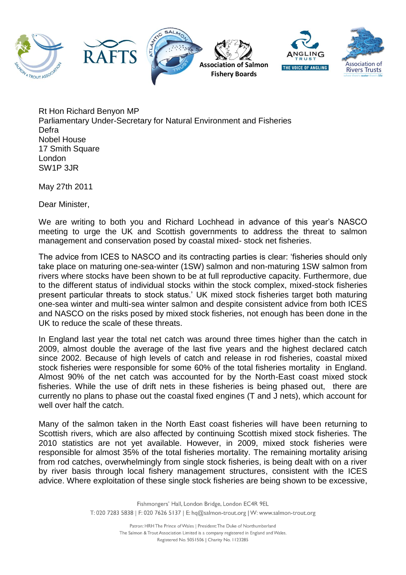

Rt Hon Richard Benyon MP Parliamentary Under-Secretary for Natural Environment and Fisheries Defra Nobel House 17 Smith Square London SW1P 3JR

May 27th 2011

Dear Minister,

We are writing to both you and Richard Lochhead in advance of this year's NASCO meeting to urge the UK and Scottish governments to address the threat to salmon management and conservation posed by coastal mixed- stock net fisheries.

The advice from ICES to NASCO and its contracting parties is clear: 'fisheries should only take place on maturing one-sea-winter (1SW) salmon and non-maturing 1SW salmon from rivers where stocks have been shown to be at full reproductive capacity. Furthermore, due to the different status of individual stocks within the stock complex, mixed-stock fisheries present particular threats to stock status.' UK mixed stock fisheries target both maturing one-sea winter and multi-sea winter salmon and despite consistent advice from both ICES and NASCO on the risks posed by mixed stock fisheries, not enough has been done in the UK to reduce the scale of these threats.

In England last year the total net catch was around three times higher than the catch in 2009, almost double the average of the last five years and the highest declared catch since 2002. Because of high levels of catch and release in rod fisheries, coastal mixed stock fisheries were responsible for some 60% of the total fisheries mortality in England. Almost 90% of the net catch was accounted for by the North-East coast mixed stock fisheries. While the use of drift nets in these fisheries is being phased out, there are currently no plans to phase out the coastal fixed engines (T and J nets), which account for well over half the catch.

Many of the salmon taken in the North East coast fisheries will have been returning to Scottish rivers, which are also affected by continuing Scottish mixed stock fisheries. The 2010 statistics are not yet available. However, in 2009, mixed stock fisheries were responsible for almost 35% of the total fisheries mortality. The remaining mortality arising from rod catches, overwhelmingly from single stock fisheries, is being dealt with on a river by river basis through local fishery management structures, consistent with the ICES advice. Where exploitation of these single stock fisheries are being shown to be excessive,